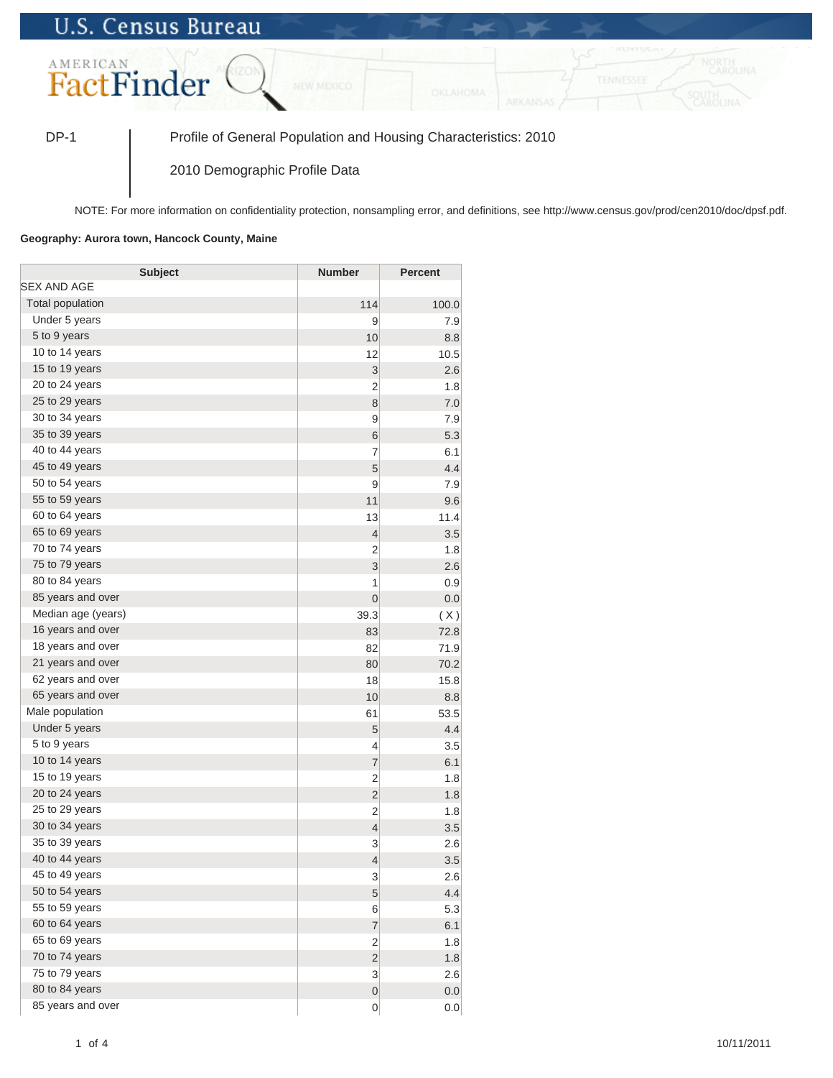## **U.S. Census Bureau**



DP-1 Profile of General Population and Housing Characteristics: 2010

2010 Demographic Profile Data

NOTE: For more information on confidentiality protection, nonsampling error, and definitions, see http://www.census.gov/prod/cen2010/doc/dpsf.pdf.

## **Geography: Aurora town, Hancock County, Maine**

| <b>Subject</b>          | <b>Number</b>  | <b>Percent</b> |
|-------------------------|----------------|----------------|
| SEX AND AGE             |                |                |
| <b>Total population</b> | 114            | 100.0          |
| Under 5 years           | 9              | 7.9            |
| 5 to 9 years            | 10             | 8.8            |
| 10 to 14 years          | 12             | 10.5           |
| 15 to 19 years          | 3              | 2.6            |
| 20 to 24 years          | $\overline{2}$ | 1.8            |
| 25 to 29 years          | 8              | 7.0            |
| 30 to 34 years          | 9              | 7.9            |
| 35 to 39 years          | 6              | 5.3            |
| 40 to 44 years          | 7              | 6.1            |
| 45 to 49 years          | 5              | 4.4            |
| 50 to 54 years          | 9              | 7.9            |
| 55 to 59 years          | 11             | 9.6            |
| 60 to 64 years          | 13             | 11.4           |
| 65 to 69 years          | $\overline{4}$ | 3.5            |
| 70 to 74 years          | $\overline{2}$ | 1.8            |
| 75 to 79 years          | 3              | 2.6            |
| 80 to 84 years          | 1              | 0.9            |
| 85 years and over       | $\overline{0}$ | 0.0            |
| Median age (years)      | 39.3           | (X)            |
| 16 years and over       | 83             | 72.8           |
| 18 years and over       | 82             | 71.9           |
| 21 years and over       | 80             | 70.2           |
| 62 years and over       | 18             | 15.8           |
| 65 years and over       | 10             | 8.8            |
| Male population         | 61             | 53.5           |
| Under 5 years           | 5              | 4.4            |
| 5 to 9 years            | 4              | 3.5            |
| 10 to 14 years          | $\overline{7}$ | 6.1            |
| 15 to 19 years          | $\overline{2}$ | 1.8            |
| 20 to 24 years          | $\overline{2}$ | 1.8            |
| 25 to 29 years          | 2              | 1.8            |
| 30 to 34 years          | $\overline{4}$ | 3.5            |
| 35 to 39 years          | 3              | 2.6            |
| 40 to 44 years          | $\overline{4}$ | 3.5            |
| 45 to 49 years          | 3              | 2.6            |
| 50 to 54 years          | 5              | 4.4            |
| 55 to 59 years          | 6              | 5.3            |
| 60 to 64 years          | $\overline{7}$ | 6.1            |
| 65 to 69 years          | $\overline{c}$ | 1.8            |
| 70 to 74 years          | $\overline{c}$ | 1.8            |
| 75 to 79 years          | 3              | 2.6            |
| 80 to 84 years          | $\overline{0}$ | 0.0            |
| 85 years and over       | $\mathbf 0$    | 0.0            |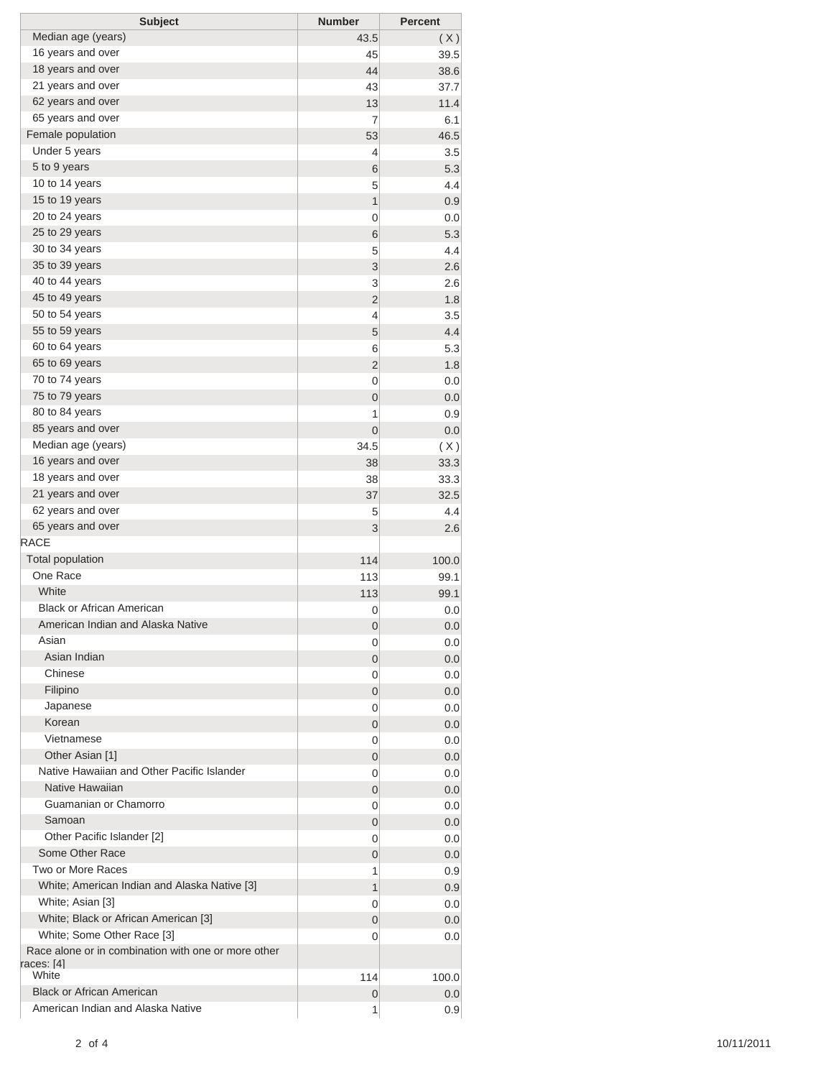| <b>Subject</b>                                                             | <b>Number</b>    | <b>Percent</b> |
|----------------------------------------------------------------------------|------------------|----------------|
| Median age (years)                                                         | 43.5             | (X)            |
| 16 years and over                                                          | 45               | 39.5           |
| 18 years and over                                                          | 44               | 38.6           |
| 21 years and over                                                          | 43               | 37.7           |
| 62 years and over                                                          | 13               | 11.4           |
| 65 years and over                                                          | 7                | 6.1            |
| Female population                                                          | 53               | 46.5           |
| Under 5 years                                                              | 4                | 3.5            |
| 5 to 9 years                                                               | 6                | 5.3            |
| 10 to 14 years                                                             | 5                | 4.4            |
| 15 to 19 years                                                             | 1                | 0.9            |
| 20 to 24 years                                                             | 0                | 0.0            |
| 25 to 29 years                                                             | 6                | 5.3            |
| 30 to 34 years                                                             | 5                | 4.4            |
| 35 to 39 years                                                             | 3                | 2.6            |
| 40 to 44 years                                                             | 3                | 2.6            |
| 45 to 49 years                                                             | $\overline{2}$   | 1.8            |
| 50 to 54 years                                                             | 4                | 3.5            |
| 55 to 59 years<br>60 to 64 years                                           | 5                | 4.4            |
| 65 to 69 years                                                             | 6                | 5.3            |
| 70 to 74 years                                                             | $\overline{2}$   | 1.8            |
| 75 to 79 years                                                             | 0<br>$\mathbf 0$ | 0.0            |
| 80 to 84 years                                                             | 1                | 0.0<br>0.9     |
| 85 years and over                                                          | $\mathbf 0$      | 0.0            |
| Median age (years)                                                         | 34.5             |                |
| 16 years and over                                                          | 38               | (X)<br>33.3    |
| 18 years and over                                                          | 38               | 33.3           |
| 21 years and over                                                          | 37               | 32.5           |
| 62 years and over                                                          | 5                | 4.4            |
| 65 years and over                                                          | 3                | 2.6            |
| <b>RACE</b>                                                                |                  |                |
| <b>Total population</b>                                                    | 114              | 100.0          |
| One Race                                                                   | 113              | 99.1           |
| White                                                                      | 113              | 99.1           |
| <b>Black or African American</b>                                           | 0                | 0.0            |
| American Indian and Alaska Native                                          | 0                | 0.0            |
| Asian                                                                      | 0                | 0.0            |
| Asian Indian                                                               | 0                | 0.0            |
| Chinese                                                                    | 0                | 0.0            |
| Filipino                                                                   | 0                | 0.0            |
| Japanese                                                                   | 0                | 0.0            |
| Korean                                                                     | 0                | 0.0            |
| Vietnamese                                                                 | 0                | 0.0            |
| Other Asian [1]                                                            | 0                | 0.0            |
| Native Hawaiian and Other Pacific Islander                                 | 0                | 0.0            |
| Native Hawaiian                                                            | 0                | 0.0            |
| Guamanian or Chamorro                                                      | 0                | 0.0            |
| Samoan                                                                     | 0                | 0.0            |
| Other Pacific Islander [2]                                                 | 0                | 0.0            |
| Some Other Race                                                            | 0                | 0.0            |
| Two or More Races                                                          | 1                | 0.9            |
| White; American Indian and Alaska Native [3]                               | 1                | 0.9            |
| White; Asian [3]                                                           | 0                | 0.0            |
| White; Black or African American [3]                                       | 0                | 0.0            |
| White; Some Other Race [3]                                                 | 0                | 0.0            |
| Race alone or in combination with one or more other<br>races: [4]<br>White | 114              | 100.0          |
| <b>Black or African American</b>                                           | 0                | 0.0            |
| American Indian and Alaska Native                                          | 1                | 0.9            |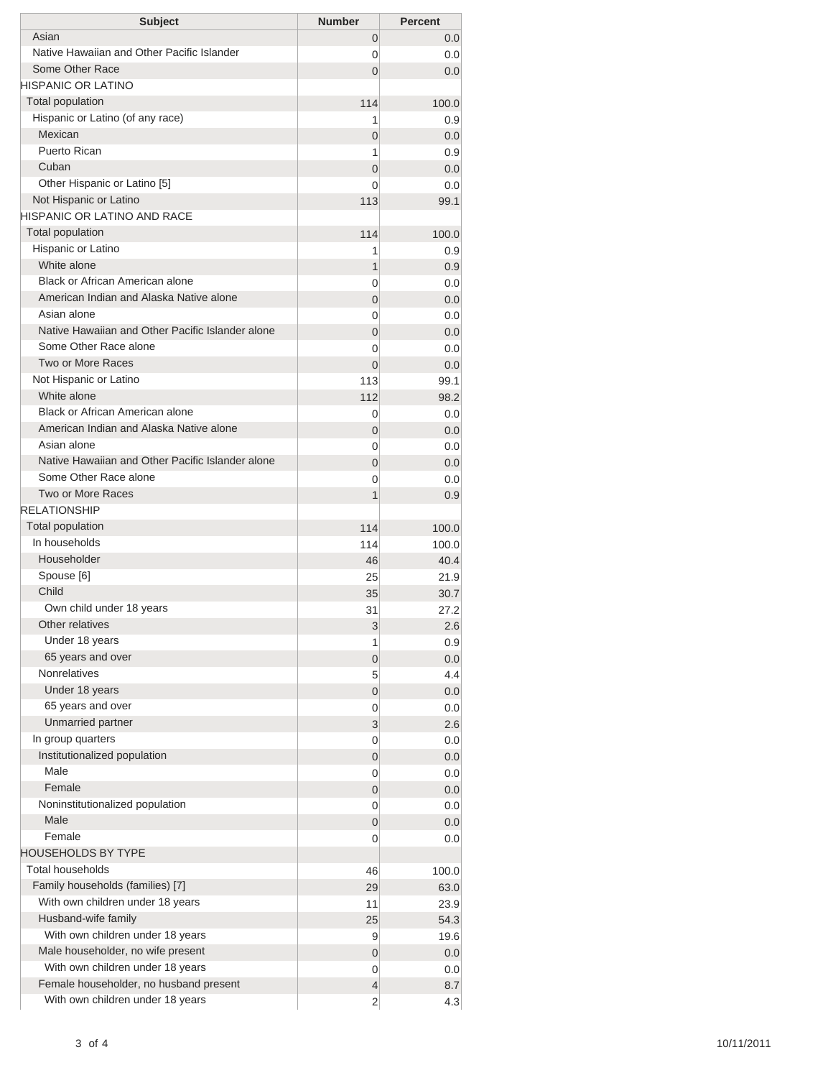| <b>Subject</b>                                                             | <b>Number</b>  | <b>Percent</b> |
|----------------------------------------------------------------------------|----------------|----------------|
| Asian                                                                      | 0              | 0.0            |
| Native Hawaiian and Other Pacific Islander                                 | 0              | 0.0            |
| Some Other Race                                                            | $\Omega$       | 0.0            |
| HISPANIC OR LATINO                                                         |                |                |
| <b>Total population</b>                                                    | 114            | 100.0          |
| Hispanic or Latino (of any race)                                           | 1              | 0.9            |
| Mexican                                                                    | 0              | 0.0            |
| Puerto Rican                                                               | 1              | 0.9            |
| Cuban                                                                      | 0              | 0.0            |
| Other Hispanic or Latino [5]                                               | 0              | 0.0            |
| Not Hispanic or Latino                                                     | 113            | 99.1           |
| <b>HISPANIC OR LATINO AND RACE</b>                                         |                |                |
| <b>Total population</b>                                                    | 114            | 100.0          |
| Hispanic or Latino                                                         | 1              | 0.9            |
| White alone                                                                | 1              | 0.9            |
| Black or African American alone                                            | 0              | 0.0            |
| American Indian and Alaska Native alone                                    | $\overline{0}$ | 0.0            |
| Asian alone                                                                | 0              | 0.0            |
| Native Hawaiian and Other Pacific Islander alone                           | $\overline{0}$ | 0.0            |
| Some Other Race alone                                                      | 0              | 0.0            |
| Two or More Races                                                          | $\Omega$       | 0.0            |
| Not Hispanic or Latino                                                     | 113            | 99.1           |
| White alone                                                                | 112            | 98.2           |
| Black or African American alone<br>American Indian and Alaska Native alone | 0              | 0.0            |
| Asian alone                                                                | 0              | 0.0            |
| Native Hawaiian and Other Pacific Islander alone                           | 0              | 0.0            |
| Some Other Race alone                                                      | $\overline{0}$ | 0.0            |
| Two or More Races                                                          | 0              | 0.0            |
| <b>RELATIONSHIP</b>                                                        | $\overline{1}$ | 0.9            |
| Total population                                                           |                |                |
| In households                                                              | 114            | 100.0<br>100.0 |
| Householder                                                                | 114            | 40.4           |
| Spouse [6]                                                                 | 46<br>25       | 21.9           |
| Child                                                                      | 35             | 30.7           |
| Own child under 18 years                                                   | 31             | 27.2           |
| Other relatives                                                            | 3              | 2.6            |
| Under 18 years                                                             | 1              | 0.9            |
| 65 years and over                                                          | 0              | 0.0            |
| <b>Nonrelatives</b>                                                        | 5              | 4.4            |
| Under 18 years                                                             | 0              | 0.0            |
| 65 years and over                                                          | 0              | 0.0            |
| Unmarried partner                                                          | 3              | 2.6            |
| In group quarters                                                          | 0              | 0.0            |
| Institutionalized population                                               | 0              | 0.0            |
| Male                                                                       | 0              | 0.0            |
| Female                                                                     | 0              | 0.0            |
| Noninstitutionalized population                                            | 0              | 0.0            |
| Male                                                                       | 0              | 0.0            |
| Female                                                                     | 0              | 0.0            |
| <b>HOUSEHOLDS BY TYPE</b>                                                  |                |                |
| <b>Total households</b>                                                    | 46             | 100.0          |
| Family households (families) [7]                                           | 29             | 63.0           |
| With own children under 18 years                                           | 11             | 23.9           |
| Husband-wife family                                                        | 25             | 54.3           |
| With own children under 18 years                                           | 9              | 19.6           |
| Male householder, no wife present                                          | $\mathbf 0$    | 0.0            |
| With own children under 18 years                                           | 0              | 0.0            |
| Female householder, no husband present                                     | 4              | 8.7            |
| With own children under 18 years                                           | $\overline{2}$ | 4.3            |